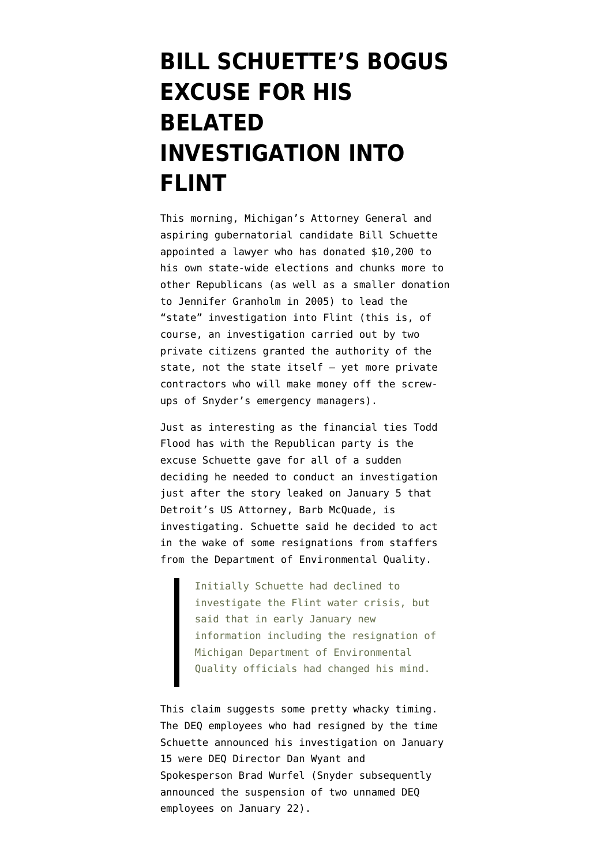## **[BILL SCHUETTE'S BOGUS](https://www.emptywheel.net/2016/01/25/bill-schuettes-bogus-excuse-for-his-delayed-investigation-into-flint/) [EXCUSE FOR HIS](https://www.emptywheel.net/2016/01/25/bill-schuettes-bogus-excuse-for-his-delayed-investigation-into-flint/) [BELATED](https://www.emptywheel.net/2016/01/25/bill-schuettes-bogus-excuse-for-his-delayed-investigation-into-flint/) [INVESTIGATION INTO](https://www.emptywheel.net/2016/01/25/bill-schuettes-bogus-excuse-for-his-delayed-investigation-into-flint/) [FLINT](https://www.emptywheel.net/2016/01/25/bill-schuettes-bogus-excuse-for-his-delayed-investigation-into-flint/)**

This morning, Michigan's Attorney General and aspiring gubernatorial candidate Bill Schuette appointed a lawyer who has [donated \\$10,200 to](http://thinkprogress.org/justice/2016/01/25/3742461/michigan-attorney-general-appoints-snyder-donor/) [his own state-wide elections](http://thinkprogress.org/justice/2016/01/25/3742461/michigan-attorney-general-appoints-snyder-donor/) and [chunks more to](http://www.mlive.com/news/index.ssf/2016/01/republican_donor_appointed_by.html) [other Republicans](http://www.mlive.com/news/index.ssf/2016/01/republican_donor_appointed_by.html) (as well as a smaller donation to Jennifer Granholm in 2005) to lead the "state" investigation into Flint (this is, of course, an investigation carried out by two private citizens granted the authority of the state, not the state itself — yet more private contractors who will make money off the screwups of Snyder's emergency managers).

Just as interesting as the financial ties Todd Flood has with the Republican party is the excuse Schuette gave for all of a sudden deciding he needed to conduct an investigation just after [the story leaked](http://www.mlive.com/news/flint/index.ssf/2016/01/us_attorneys_office_investigat.html) on January 5 that Detroit's US Attorney, Barb McQuade, is investigating. Schuette said he decided to act in the wake of some resignations from staffers from the Department of Environmental Quality.

> Initially Schuette had declined to investigate the Flint water crisis, but said that in early January new information including the resignation of Michigan Department of Environmental Quality officials had changed his mind.

This claim suggests some pretty whacky timing. The DEQ employees who had resigned by the time Schuette announced his investigation on January 15 were DEQ Director Dan Wyant and Spokesperson Brad Wurfel (Snyder subsequently [announced](http://mi.gov/snyder/0,4668,7-277--374565--,00.html) the suspension of two unnamed DEQ employees on January 22).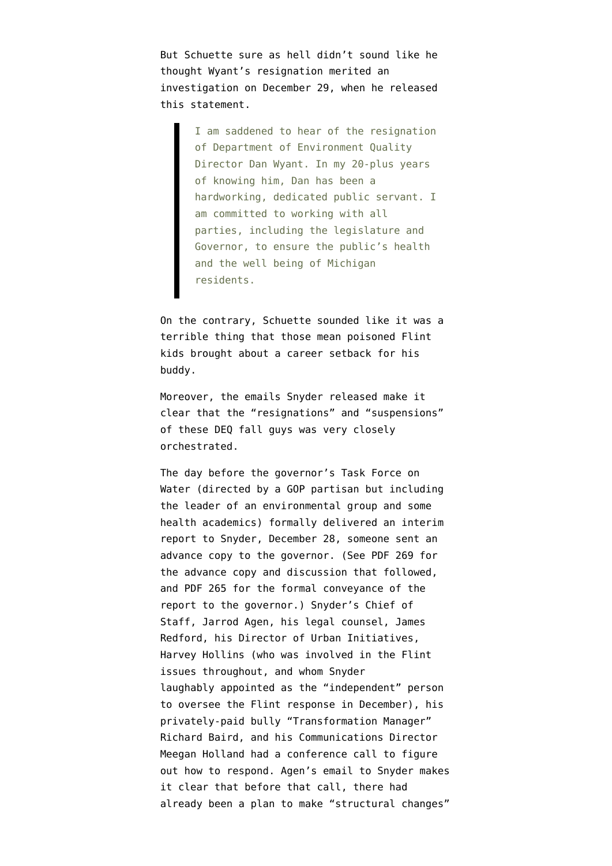But Schuette sure as hell didn't sound like he thought Wyant's resignation merited an investigation on December 29, when he released [this statement](http://www.michigan.gov/ag/0,4534,7-164-46849-372375--,00.html).

> I am saddened to hear of the resignation of Department of Environment Quality Director Dan Wyant. In my 20-plus years of knowing him, Dan has been a hardworking, dedicated public servant. I am committed to working with all parties, including the legislature and Governor, to ensure the public's health and the well being of Michigan residents.

On the contrary, Schuette sounded like it was a terrible thing that those mean poisoned Flint kids brought about a career setback for his buddy.

Moreover, the [emails Snyder released](http://somcsprod2govm001.usgovcloudapp.net/files/snyder%20emails.pdf) make it clear that the "resignations" and "suspensions" of these DEQ fall guys was very closely orchestrated.

The day before the governor's Task Force on Water (directed by a GOP partisan but including the leader of an environmental group and some health academics) formally delivered an interim report to Snyder, December 28, someone sent an advance copy to the governor. (See PDF 269 for the advance copy and discussion that followed, and PDF 265 for the formal conveyance of the report to the governor.) Snyder's Chief of Staff, Jarrod Agen, his legal counsel, James Redford, his Director of Urban Initiatives, Harvey Hollins (who was involved in the Flint issues throughout, and whom Snyder [laughably appointed](http://www.freep.com/story/news/local/michigan/2015/12/17/flint-water-coordinator/77474574/) as the "independent" person to oversee the Flint response in December), his privately-paid bully ["Transformation Manager](http://www.eclectablog.com/2013/06/richard-baird-rick-snyders-transformation-manager-the-governors-enforcer-behind-the-scenes.html)" Richard Baird, and his Communications Director Meegan Holland had a conference call to figure out how to respond. Agen's email to Snyder makes it clear that before that call, there had already been a plan to make "structural changes"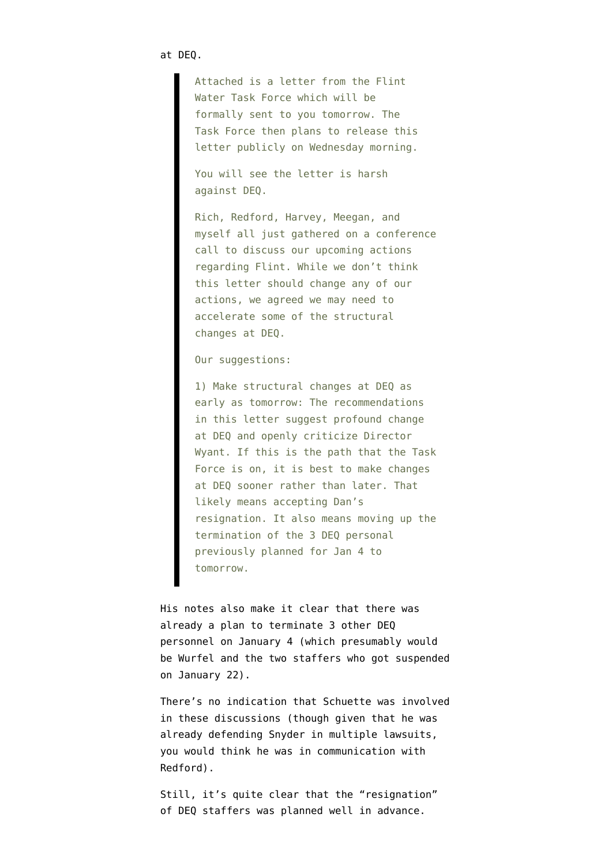Attached is a letter from the Flint Water Task Force which will be formally sent to you tomorrow. The Task Force then plans to release this letter publicly on Wednesday morning.

You will see the letter is harsh against DEQ.

Rich, Redford, Harvey, Meegan, and myself all just gathered on a conference call to discuss our upcoming actions regarding Flint. While we don't think this letter should change any of our actions, we agreed we may need to accelerate some of the structural changes at DEQ.

Our suggestions:

1) Make structural changes at DEQ as early as tomorrow: The recommendations in this letter suggest profound change at DEQ and openly criticize Director Wyant. If this is the path that the Task Force is on, it is best to make changes at DEQ sooner rather than later. That likely means accepting Dan's resignation. It also means moving up the termination of the 3 DEQ personal previously planned for Jan 4 to tomorrow.

His notes also make it clear that there was already a plan to terminate 3 other DEQ personnel on January 4 (which presumably would be Wurfel and the two staffers who got suspended on January 22).

There's no indication that Schuette was involved in these discussions (though given that he was already defending Snyder in multiple lawsuits, you would think he was in communication with Redford).

Still, it's quite clear that the "resignation" of DEQ staffers was planned well in advance.